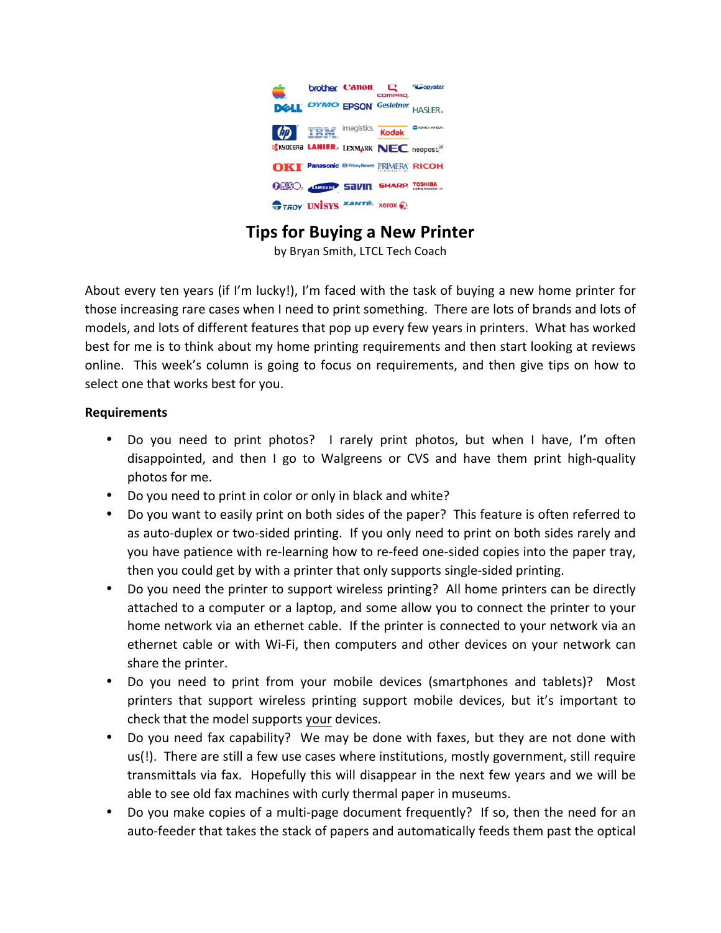

# **Tips for Buying a New Printer**

by Bryan Smith, LTCL Tech Coach

About every ten years (if I'm lucky!), I'm faced with the task of buying a new home printer for those increasing rare cases when I need to print something. There are lots of brands and lots of models, and lots of different features that pop up every few years in printers. What has worked best for me is to think about my home printing requirements and then start looking at reviews online. This week's column is going to focus on requirements, and then give tips on how to select one that works best for you.

#### **Requirements**

- Do you need to print photos? I rarely print photos, but when I have, I'm often disappointed, and then I go to Walgreens or CVS and have them print high-quality photos for me.
- Do you need to print in color or only in black and white?
- Do you want to easily print on both sides of the paper? This feature is often referred to as auto-duplex or two-sided printing. If you only need to print on both sides rarely and you have patience with re-learning how to re-feed one-sided copies into the paper tray, then you could get by with a printer that only supports single-sided printing.
- Do you need the printer to support wireless printing? All home printers can be directly attached to a computer or a laptop, and some allow you to connect the printer to your home network via an ethernet cable. If the printer is connected to your network via an ethernet cable or with Wi-Fi, then computers and other devices on your network can share the printer.
- Do you need to print from your mobile devices (smartphones and tablets)? Most printers that support wireless printing support mobile devices, but it's important to check that the model supports your devices.
- Do you need fax capability? We may be done with faxes, but they are not done with us(!). There are still a few use cases where institutions, mostly government, still require transmittals via fax. Hopefully this will disappear in the next few years and we will be able to see old fax machines with curly thermal paper in museums.
- Do you make copies of a multi-page document frequently? If so, then the need for an auto-feeder that takes the stack of papers and automatically feeds them past the optical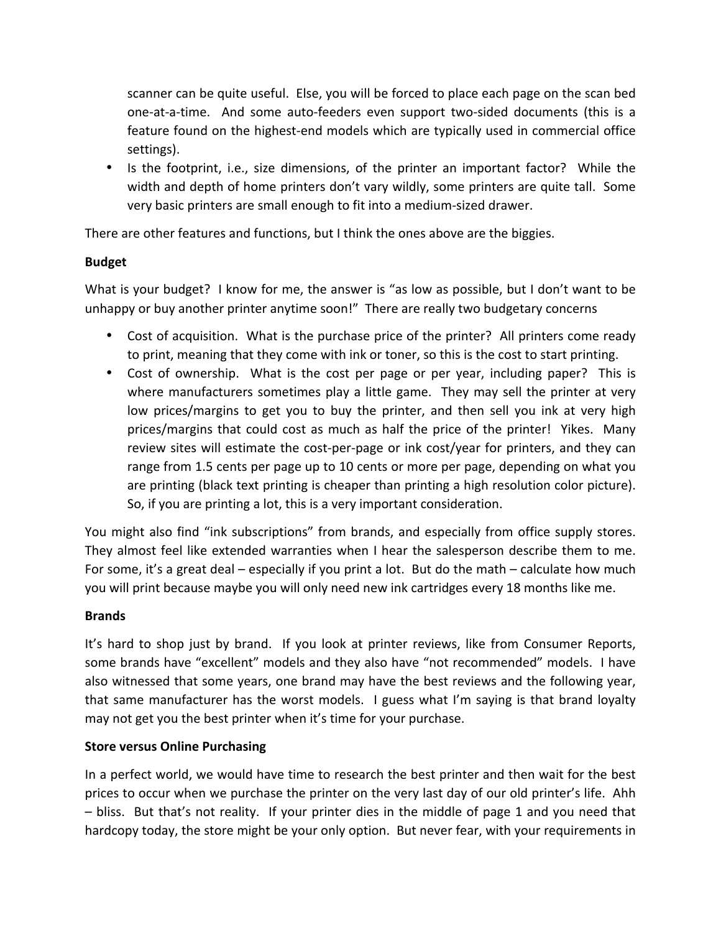scanner can be quite useful. Else, you will be forced to place each page on the scan bed one-at-a-time. And some auto-feeders even support two-sided documents (this is a feature found on the highest-end models which are typically used in commercial office settings).

• Is the footprint, i.e., size dimensions, of the printer an important factor? While the width and depth of home printers don't vary wildly, some printers are quite tall. Some very basic printers are small enough to fit into a medium-sized drawer.

There are other features and functions, but I think the ones above are the biggies.

# **Budget**

What is your budget? I know for me, the answer is "as low as possible, but I don't want to be unhappy or buy another printer anytime soon!" There are really two budgetary concerns

- Cost of acquisition. What is the purchase price of the printer? All printers come ready to print, meaning that they come with ink or toner, so this is the cost to start printing.
- Cost of ownership. What is the cost per page or per year, including paper? This is where manufacturers sometimes play a little game. They may sell the printer at very low prices/margins to get you to buy the printer, and then sell you ink at very high prices/margins that could cost as much as half the price of the printer! Yikes. Many review sites will estimate the cost-per-page or ink cost/year for printers, and they can range from 1.5 cents per page up to 10 cents or more per page, depending on what you are printing (black text printing is cheaper than printing a high resolution color picture). So, if you are printing a lot, this is a very important consideration.

You might also find "ink subscriptions" from brands, and especially from office supply stores. They almost feel like extended warranties when I hear the salesperson describe them to me. For some, it's a great deal – especially if you print a lot. But do the math – calculate how much you will print because maybe you will only need new ink cartridges every 18 months like me.

### **Brands**

It's hard to shop just by brand. If you look at printer reviews, like from Consumer Reports, some brands have "excellent" models and they also have "not recommended" models. I have also witnessed that some years, one brand may have the best reviews and the following year, that same manufacturer has the worst models. I guess what I'm saying is that brand loyalty may not get you the best printer when it's time for your purchase.

### **Store versus Online Purchasing**

In a perfect world, we would have time to research the best printer and then wait for the best prices to occur when we purchase the printer on the very last day of our old printer's life. Ahh  $-$  bliss. But that's not reality. If your printer dies in the middle of page 1 and you need that hardcopy today, the store might be your only option. But never fear, with your requirements in